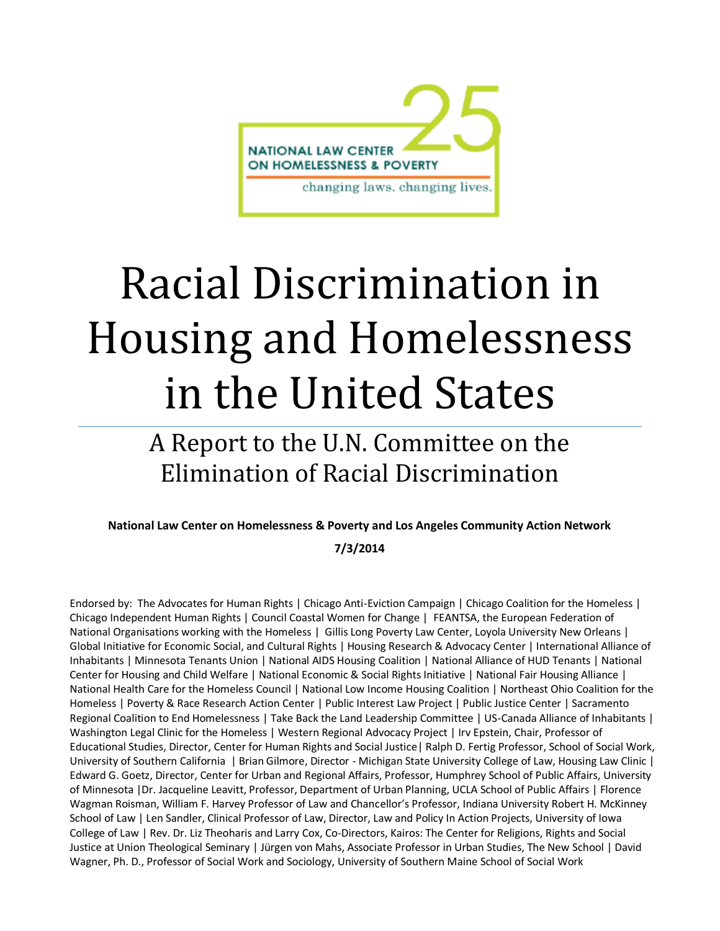

# Racial Discrimination in Housing and Homelessness in the United States

## A Report to the U.N. Committee on the Elimination of Racial Discrimination

### **National Law Center on Homelessness & Poverty and Los Angeles Community Action Network**

#### **7/3/2014**

Endorsed by: The Advocates for Human Rights | Chicago Anti-Eviction Campaign | Chicago Coalition for the Homeless | Chicago Independent Human Rights | Council Coastal Women for Change | FEANTSA, the European Federation of National Organisations working with the Homeless | Gillis Long Poverty Law Center, Loyola University New Orleans | Global Initiative for Economic Social, and Cultural Rights | Housing Research & Advocacy Center | International Alliance of Inhabitants | Minnesota Tenants Union | National AIDS Housing Coalition | National Alliance of HUD Tenants | National Center for Housing and Child Welfare | National Economic & Social Rights Initiative | National Fair Housing Alliance | National Health Care for the Homeless Council | National Low Income Housing Coalition | Northeast Ohio Coalition for the Homeless | Poverty & Race Research Action Center | Public Interest Law Project | Public Justice Center | Sacramento Regional Coalition to End Homelessness | Take Back the Land Leadership Committee | US-Canada Alliance of Inhabitants | Washington Legal Clinic for the Homeless | Western Regional Advocacy Project | Irv Epstein, Chair, Professor of Educational Studies, Director, Center for Human Rights and Social Justice| Ralph D. Fertig Professor, School of Social Work, University of Southern California | Brian Gilmore, Director - Michigan State University College of Law, Housing Law Clinic | Edward G. Goetz, Director, Center for Urban and Regional Affairs, Professor, Humphrey School of Public Affairs, University of Minnesota |Dr. Jacqueline Leavitt, Professor, Department of Urban Planning, UCLA School of Public Affairs | Florence Wagman Roisman, William F. Harvey Professor of Law and Chancellor's Professor, Indiana University Robert H. McKinney School of Law | Len Sandler, Clinical Professor of Law, Director, Law and Policy In Action Projects, University of Iowa College of Law | Rev. Dr. Liz Theoharis and Larry Cox, Co-Directors, Kairos: The Center for Religions, Rights and Social Justice at Union Theological Seminary | Jürgen von Mahs, Associate Professor in Urban Studies, The New School | David Wagner, Ph. D., Professor of Social Work and Sociology, University of Southern Maine School of Social Work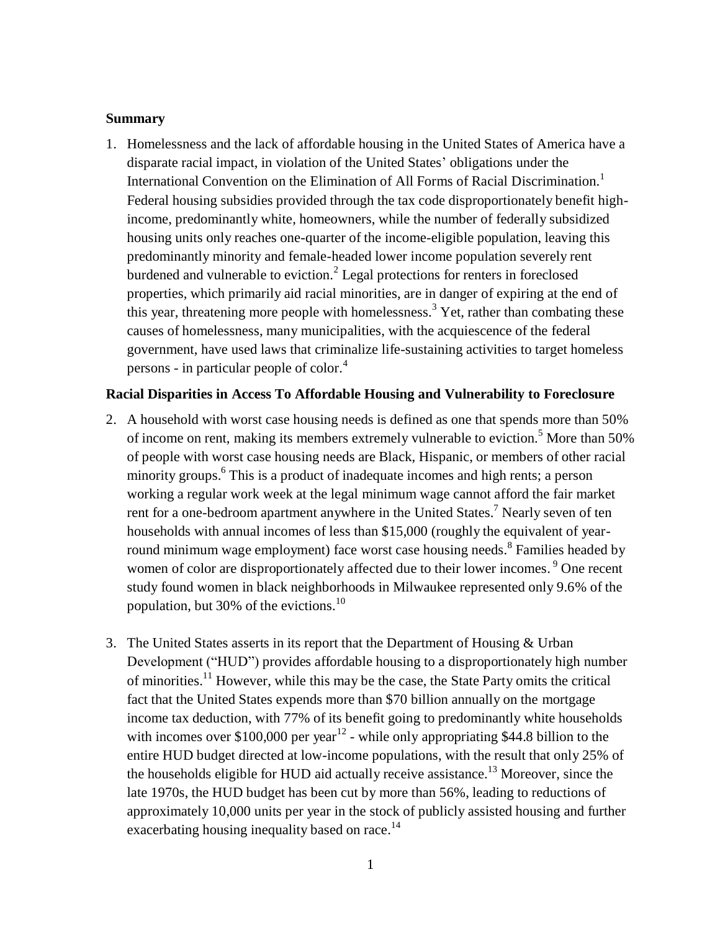#### **Summary**

1. Homelessness and the lack of affordable housing in the United States of America have a disparate racial impact, in violation of the United States' obligations under the International Convention on the Elimination of All Forms of Racial Discrimination.<sup>1</sup> Federal housing subsidies provided through the tax code disproportionately benefit highincome, predominantly white, homeowners, while the number of federally subsidized housing units only reaches one-quarter of the income-eligible population, leaving this predominantly minority and female-headed lower income population severely rent burdened and vulnerable to eviction.<sup>2</sup> Legal protections for renters in foreclosed properties, which primarily aid racial minorities, are in danger of expiring at the end of this year, threatening more people with homelessness.<sup>3</sup> Yet, rather than combating these causes of homelessness, many municipalities, with the acquiescence of the federal government, have used laws that criminalize life-sustaining activities to target homeless persons - in particular people of color. $4$ 

#### **Racial Disparities in Access To Affordable Housing and Vulnerability to Foreclosure**

- 2. A household with worst case housing needs is defined as one that spends more than 50% of income on rent, making its members extremely vulnerable to eviction.<sup>5</sup> More than 50% of people with worst case housing needs are Black, Hispanic, or members of other racial minority groups.<sup>6</sup> This is a product of inadequate incomes and high rents; a person working a regular work week at the legal minimum wage cannot afford the fair market rent for a one-bedroom apartment anywhere in the United States.<sup>7</sup> Nearly seven of ten households with annual incomes of less than \$15,000 (roughly the equivalent of yearround minimum wage employment) face worst case housing needs. <sup>8</sup> Families headed by women of color are disproportionately affected due to their lower incomes.<sup>9</sup> One recent study found women in black neighborhoods in Milwaukee represented only 9.6% of the population, but 30% of the evictions.<sup>10</sup>
- 3. The United States asserts in its report that the Department of Housing & Urban Development ("HUD") provides affordable housing to a disproportionately high number of minorities.<sup>11</sup> However, while this may be the case, the State Party omits the critical fact that the United States expends more than \$70 billion annually on the mortgage income tax deduction, with 77% of its benefit going to predominantly white households with incomes over \$100,000 per year<sup>12</sup> - while only appropriating \$44.8 billion to the entire HUD budget directed at low-income populations, with the result that only 25% of the households eligible for HUD aid actually receive assistance.<sup>13</sup> Moreover, since the late 1970s, the HUD budget has been cut by more than 56%, leading to reductions of approximately 10,000 units per year in the stock of publicly assisted housing and further exacerbating housing inequality based on race.<sup>14</sup>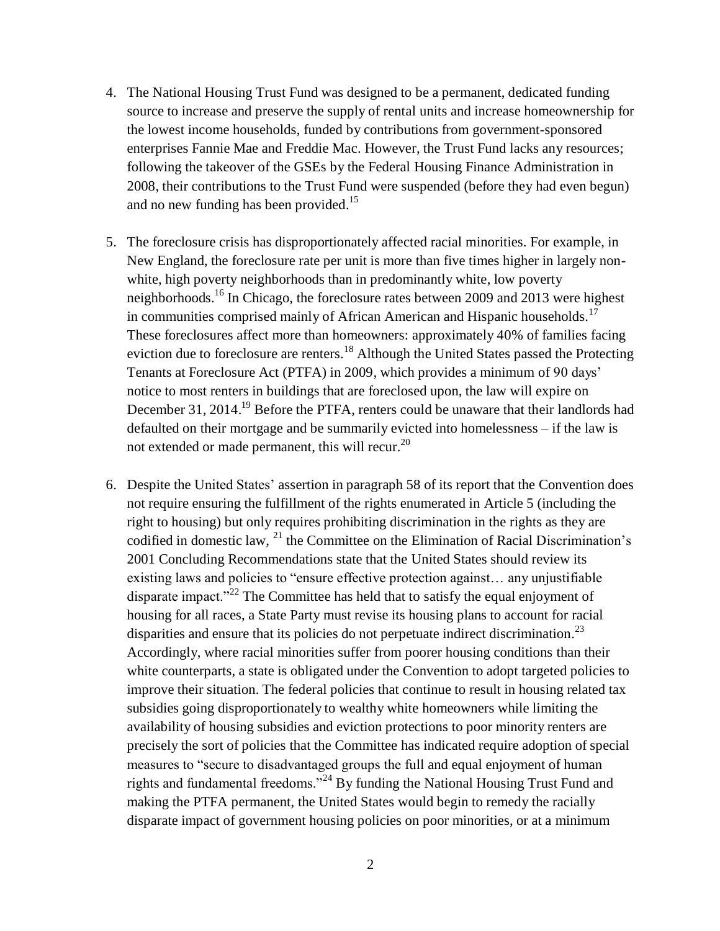- 4. The National Housing Trust Fund was designed to be a permanent, dedicated funding source to increase and preserve the supply of rental units and increase homeownership for the lowest income households, funded by contributions from government-sponsored enterprises Fannie Mae and Freddie Mac. However, the Trust Fund lacks any resources; following the takeover of the GSEs by the Federal Housing Finance Administration in 2008, their contributions to the Trust Fund were suspended (before they had even begun) and no new funding has been provided.<sup>15</sup>
- 5. The foreclosure crisis has disproportionately affected racial minorities. For example, in New England, the foreclosure rate per unit is more than five times higher in largely nonwhite, high poverty neighborhoods than in predominantly white, low poverty neighborhoods.<sup>16</sup> In Chicago, the foreclosure rates between 2009 and 2013 were highest in communities comprised mainly of African American and Hispanic households.<sup>17</sup> These foreclosures affect more than homeowners: approximately 40% of families facing eviction due to foreclosure are renters.<sup>18</sup> Although the United States passed the Protecting Tenants at Foreclosure Act (PTFA) in 2009, which provides a minimum of 90 days' notice to most renters in buildings that are foreclosed upon, the law will expire on December 31, 2014.<sup>19</sup> Before the PTFA, renters could be unaware that their landlords had defaulted on their mortgage and be summarily evicted into homelessness – if the law is not extended or made permanent, this will recur.<sup>20</sup>
- 6. Despite the United States' assertion in paragraph 58 of its report that the Convention does not require ensuring the fulfillment of the rights enumerated in Article 5 (including the right to housing) but only requires prohibiting discrimination in the rights as they are codified in domestic law,  $^{21}$  the Committee on the Elimination of Racial Discrimination's 2001 Concluding Recommendations state that the United States should review its existing laws and policies to "ensure effective protection against… any unjustifiable disparate impact."<sup>22</sup> The Committee has held that to satisfy the equal enjoyment of housing for all races, a State Party must revise its housing plans to account for racial disparities and ensure that its policies do not perpetuate indirect discrimination.<sup>23</sup> Accordingly, where racial minorities suffer from poorer housing conditions than their white counterparts, a state is obligated under the Convention to adopt targeted policies to improve their situation. The federal policies that continue to result in housing related tax subsidies going disproportionately to wealthy white homeowners while limiting the availability of housing subsidies and eviction protections to poor minority renters are precisely the sort of policies that the Committee has indicated require adoption of special measures to "secure to disadvantaged groups the full and equal enjoyment of human rights and fundamental freedoms."<sup>24</sup> By funding the National Housing Trust Fund and making the PTFA permanent, the United States would begin to remedy the racially disparate impact of government housing policies on poor minorities, or at a minimum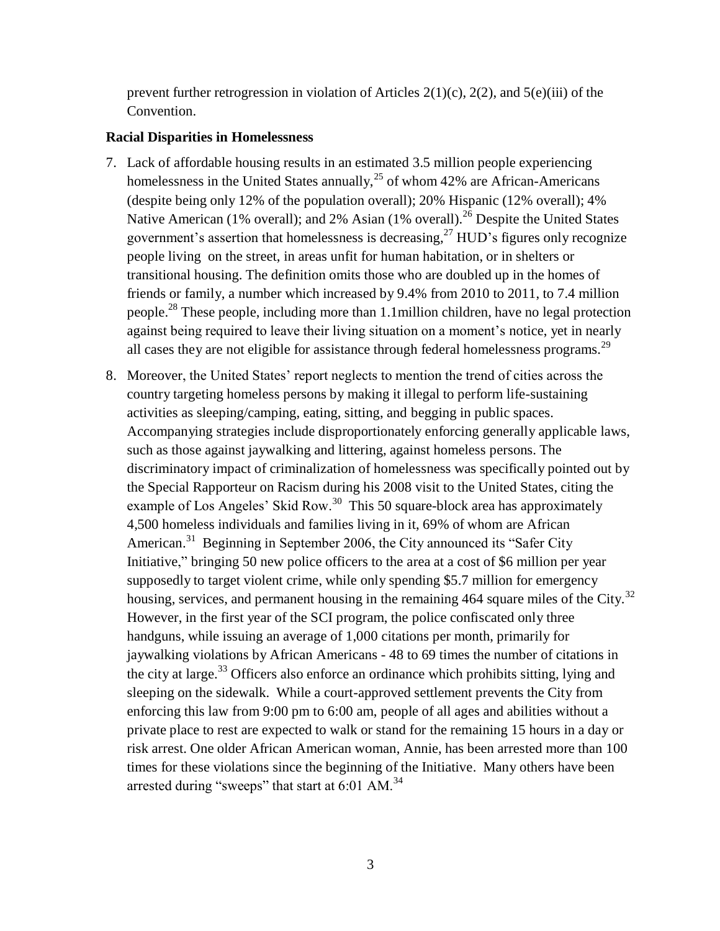prevent further retrogression in violation of Articles  $2(1)(c)$ ,  $2(2)$ , and  $5(e)(iii)$  of the Convention.

#### **Racial Disparities in Homelessness**

- 7. Lack of affordable housing results in an estimated 3.5 million people experiencing homelessness in the United States annually,  $^{25}$  of whom 42% are African-Americans (despite being only 12% of the population overall); 20% Hispanic (12% overall); 4% Native American (1% overall); and 2% Asian (1% overall).<sup>26</sup> Despite the United States government's assertion that homelessness is decreasing, $^{27}$  HUD's figures only recognize people living on the street, in areas unfit for human habitation, or in shelters or transitional housing. The definition omits those who are doubled up in the homes of friends or family, a number which increased by 9.4% from 2010 to 2011, to 7.4 million people.<sup>28</sup> These people, including more than 1.1million children, have no legal protection against being required to leave their living situation on a moment's notice, yet in nearly all cases they are not eligible for assistance through federal homelessness programs.<sup>29</sup>
- 8. Moreover, the United States' report neglects to mention the trend of cities across the country targeting homeless persons by making it illegal to perform life-sustaining activities as sleeping/camping, eating, sitting, and begging in public spaces. Accompanying strategies include disproportionately enforcing generally applicable laws, such as those against jaywalking and littering, against homeless persons. The discriminatory impact of criminalization of homelessness was specifically pointed out by the Special Rapporteur on Racism during his 2008 visit to the United States, citing the example of Los Angeles' Skid Row.<sup>30</sup> This 50 square-block area has approximately 4,500 homeless individuals and families living in it, 69% of whom are African American.<sup>31</sup> Beginning in September 2006, the City announced its "Safer City Initiative," bringing 50 new police officers to the area at a cost of \$6 million per year supposedly to target violent crime, while only spending \$5.7 million for emergency housing, services, and permanent housing in the remaining  $464$  square miles of the City.<sup>32</sup> However, in the first year of the SCI program, the police confiscated only three handguns, while issuing an average of 1,000 citations per month, primarily for jaywalking violations by African Americans - 48 to 69 times the number of citations in the city at large.<sup>33</sup> Officers also enforce an ordinance which prohibits sitting, lying and sleeping on the sidewalk. While a court-approved settlement prevents the City from enforcing this law from 9:00 pm to 6:00 am, people of all ages and abilities without a private place to rest are expected to walk or stand for the remaining 15 hours in a day or risk arrest. One older African American woman, Annie, has been arrested more than 100 times for these violations since the beginning of the Initiative. Many others have been arrested during "sweeps" that start at  $6:01$  AM.<sup>34</sup>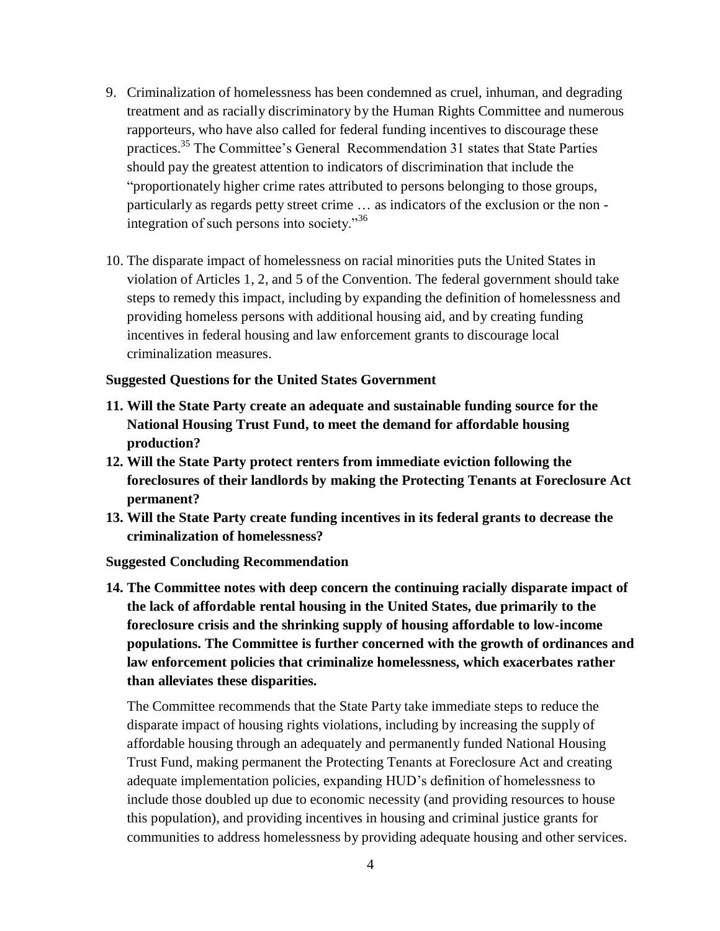- 9. Criminalization of homelessness has been condemned as cruel, inhuman, and degrading treatment and as racially discriminatory by the Human Rights Committee and numerous rapporteurs, who have also called for federal funding incentives to discourage these practices.<sup>35</sup> The Committee's General Recommendation 31 states that State Parties should pay the greatest attention to indicators of discrimination that include the "proportionately higher crime rates attributed to persons belonging to those groups, particularly as regards petty street crime … as indicators of the exclusion or the non integration of such persons into society."<sup>36</sup>
- 10. The disparate impact of homelessness on racial minorities puts the United States in violation of Articles 1, 2, and 5 of the Convention. The federal government should take steps to remedy this impact, including by expanding the definition of homelessness and providing homeless persons with additional housing aid, and by creating funding incentives in federal housing and law enforcement grants to discourage local criminalization measures.

#### **Suggested Questions for the United States Government**

- **11. Will the State Party create an adequate and sustainable funding source for the National Housing Trust Fund, to meet the demand for affordable housing production?**
- **12. Will the State Party protect renters from immediate eviction following the foreclosures of their landlords by making the Protecting Tenants at Foreclosure Act permanent?**
- **13. Will the State Party create funding incentives in its federal grants to decrease the criminalization of homelessness?**

**Suggested Concluding Recommendation**

**14. The Committee notes with deep concern the continuing racially disparate impact of the lack of affordable rental housing in the United States, due primarily to the foreclosure crisis and the shrinking supply of housing affordable to low-income populations. The Committee is further concerned with the growth of ordinances and law enforcement policies that criminalize homelessness, which exacerbates rather than alleviates these disparities.**

The Committee recommends that the State Party take immediate steps to reduce the disparate impact of housing rights violations, including by increasing the supply of affordable housing through an adequately and permanently funded National Housing Trust Fund, making permanent the Protecting Tenants at Foreclosure Act and creating adequate implementation policies, expanding HUD's definition of homelessness to include those doubled up due to economic necessity (and providing resources to house this population), and providing incentives in housing and criminal justice grants for communities to address homelessness by providing adequate housing and other services.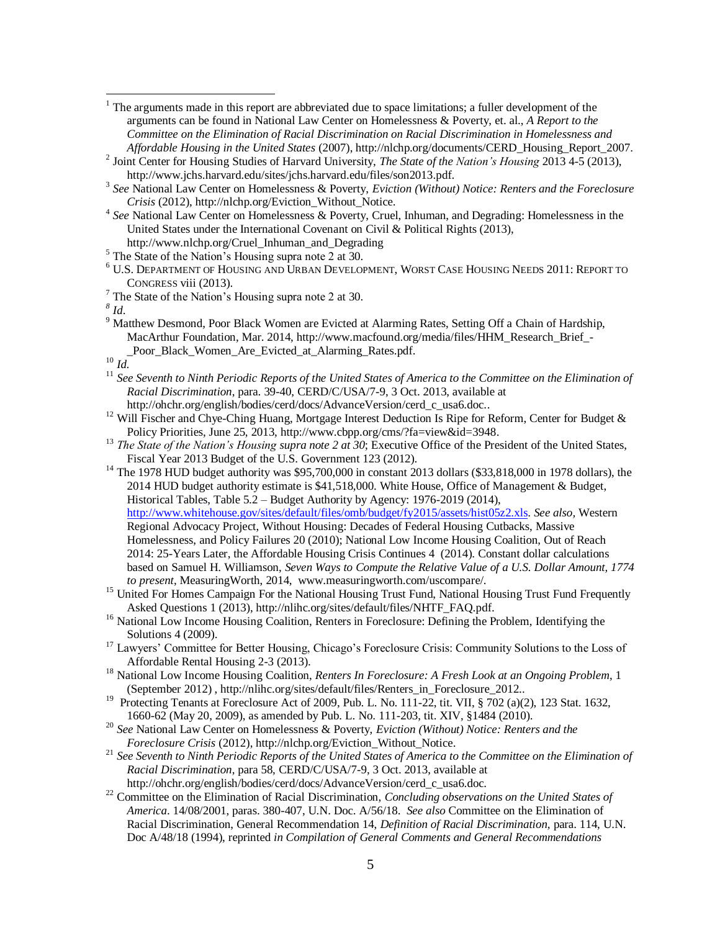$1$ . The arguments made in this report are abbreviated due to space limitations; a fuller development of the arguments can be found in National Law Center on Homelessness & Poverty, et. al., *A Report to the Committee on the Elimination of Racial Discrimination on Racial Discrimination in Homelessness and Affordable Housing in the United States* (2007), http://nlchp.org/documents/CERD\_Housing\_Report\_2007.

2 Joint Center for Housing Studies of Harvard University, *The State of the Nation's Housing* 2013 4-5 (2013), http://www.jchs.harvard.edu/sites/jchs.harvard.edu/files/son2013.pdf.

3 *See* National Law Center on Homelessness & Poverty, *Eviction (Without) Notice: Renters and the Foreclosure Crisis* (2012), http://nlchp.org/Eviction\_Without\_Notice.

4 *See* National Law Center on Homelessness & Poverty, Cruel, Inhuman, and Degrading: Homelessness in the United States under the International Covenant on Civil & Political Rights (2013), http://www.nlchp.org/Cruel\_Inhuman\_and\_Degrading

- <sup>5</sup> The State of the Nation's Housing supra note 2 at 30.
- <sup>6</sup> U.S. DEPARTMENT OF HOUSING AND URBAN DEVELOPMENT, WORST CASE HOUSING NEEDS 2011: REPORT TO CONGRESS viii (2013).
- $<sup>7</sup>$  The State of the Nation's Housing supra note 2 at 30.</sup>

*8 Id*.

 $\overline{a}$ 

<sup>9</sup> Matthew Desmond, Poor Black Women are Evicted at Alarming Rates, Setting Off a Chain of Hardship, MacArthur Foundation, Mar. 2014, http://www.macfound.org/media/files/HHM\_Research\_Brief\_-Poor\_Black\_Women\_Are\_Evicted\_at\_Alarming\_Rates.pdf.

<sup>10</sup> *Id.*

- <sup>11</sup> See Seventh to Ninth Periodic Reports of the United States of America to the Committee on the Elimination of *Racial Discrimination*, para. 39-40, CERD/C/USA/7-9, 3 Oct. 2013, available at
- http://ohchr.org/english/bodies/cerd/docs/AdvanceVersion/cerd\_c\_usa6.doc.. <sup>12</sup> Will Fischer and Chye-Ching Huang, Mortgage Interest Deduction Is Ripe for Reform, Center for Budget &

Policy Priorities, June 25, 2013, http://www.cbpp.org/cms/?fa=view&id=3948.

- <sup>13</sup> *The State of the Nation's Housing supra note 2 at 30*; Executive Office of the President of the United States, Fiscal Year 2013 Budget of the U.S. Government 123 (2012).
- <sup>14</sup> The 1978 HUD budget authority was \$95,700,000 in constant 2013 dollars (\$33,818,000 in 1978 dollars), the 2014 HUD budget authority estimate is \$41,518,000. White House, Office of Management & Budget, Historical Tables, Table 5.2 – Budget Authority by Agency: 1976-2019 (2014), [http://www.whitehouse.gov/sites/default/files/omb/budget/fy2015/assets/hist05z2.xls.](http://www.whitehouse.gov/sites/default/files/omb/budget/fy2015/assets/hist05z2.xls) *See also,* Western Regional Advocacy Project, Without Housing: Decades of Federal Housing Cutbacks, Massive Homelessness, and Policy Failures 20 (2010); National Low Income Housing Coalition, Out of Reach 2014: 25-Years Later, the Affordable Housing Crisis Continues 4 (2014). Constant dollar calculations based on Samuel H. Williamson, *Seven Ways to Compute the Relative Value of a U.S. Dollar Amount, 1774 to present*, MeasuringWorth, 2014, www.measuringworth.com/uscompare/.
- <sup>15</sup> United For Homes Campaign For the National Housing Trust Fund, National Housing Trust Fund Frequently Asked Questions 1 (2013), http://nlihc.org/sites/default/files/NHTF\_FAQ.pdf.
- <sup>16</sup> National Low Income Housing Coalition, Renters in Foreclosure: Defining the Problem, Identifying the Solutions 4 (2009).
- <sup>17</sup> Lawyers' Committee for Better Housing, Chicago's Foreclosure Crisis: Community Solutions to the Loss of Affordable Rental Housing 2-3 (2013).
- <sup>18</sup> National Low Income Housing Coalition, *Renters In Foreclosure: A Fresh Look at an Ongoing Problem*, 1 (September 2012) , http://nlihc.org/sites/default/files/Renters\_in\_Foreclosure\_2012..
- <sup>19</sup> Protecting Tenants at Foreclosure Act of 2009, Pub. L. No. 111-22, tit. VII, § 702 (a)(2), 123 Stat. 1632, 1660-62 (May 20, 2009), as amended by Pub. L. No. 111-203, tit. XIV, §1484 (2010).
- <sup>20</sup> *See* National Law Center on Homelessness & Poverty, *Eviction (Without) Notice: Renters and the Foreclosure Crisis* (2012), http://nlchp.org/Eviction\_Without\_Notice.
- <sup>21</sup> *See Seventh to Ninth Periodic Reports of the United States of America to the Committee on the Elimination of Racial Discrimination*, para 58, CERD/C/USA/7-9, 3 Oct. 2013, available at http://ohchr.org/english/bodies/cerd/docs/AdvanceVersion/cerd\_c\_usa6.doc.
- <sup>22</sup> Committee on the Elimination of Racial Discrimination, *Concluding observations on the United States of America*. 14/08/2001, paras. 380-407, U.N. Doc. A/56/18. *See also* Committee on the Elimination of Racial Discrimination, General Recommendation 14, *Definition of Racial Discrimination,* para. 114, U.N. Doc A/48/18 (1994), reprinted *in Compilation of General Comments and General Recommendations*